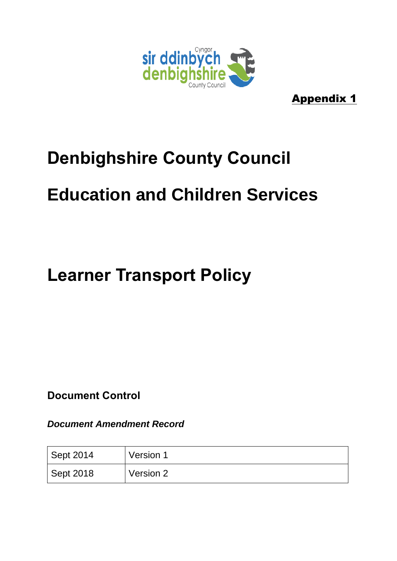

Appendix 1

### **Denbighshire County Council**

# **Education and Children Services**

# **Learner Transport Policy**

**Document Control**

*Document Amendment Record*

| <sup>1</sup> Sept 2014 | Version 1 |
|------------------------|-----------|
| Sept 2018              | Version 2 |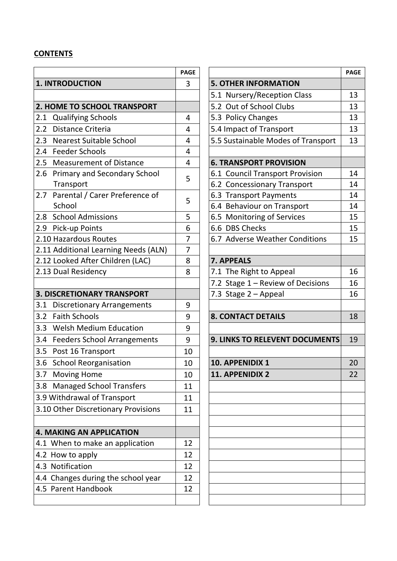#### **CONTENTS**

|                                          | <b>PAGE</b>    |                                       | PAG |
|------------------------------------------|----------------|---------------------------------------|-----|
| <b>1. INTRODUCTION</b>                   | 3              | <b>5. OTHER INFORMATION</b>           |     |
|                                          |                | 5.1 Nursery/Reception Class           | 13  |
| 2. HOME TO SCHOOL TRANSPORT              |                | 5.2 Out of School Clubs               | 13  |
| 2.1<br><b>Qualifying Schools</b>         | 4              | 5.3 Policy Changes                    | 13  |
| 2.2<br>Distance Criteria                 | 4              | 5.4 Impact of Transport               | 13  |
| 2.3<br><b>Nearest Suitable School</b>    | 4              | 5.5 Sustainable Modes of Transport    | 13  |
| 2.4 Feeder Schools                       | 4              |                                       |     |
| 2.5 Measurement of Distance              | 4              | <b>6. TRANSPORT PROVISION</b>         |     |
| 2.6 Primary and Secondary School         | 5              | 6.1 Council Transport Provision       | 14  |
| Transport                                |                | 6.2 Concessionary Transport           | 14  |
| 2.7 Parental / Carer Preference of       | 5              | 6.3 Transport Payments                | 14  |
| School                                   |                | 6.4 Behaviour on Transport            | 14  |
| 2.8 School Admissions                    | 5              | 6.5 Monitoring of Services            | 15  |
| 2.9 Pick-up Points                       | 6              | 6.6 DBS Checks                        | 15  |
| 2.10 Hazardous Routes                    | 7              | 6.7 Adverse Weather Conditions        | 15  |
| 2.11 Additional Learning Needs (ALN)     | $\overline{7}$ |                                       |     |
| 2.12 Looked After Children (LAC)         | 8              | 7. APPEALS                            |     |
| 2.13 Dual Residency                      | 8              | 7.1 The Right to Appeal               | 16  |
|                                          |                | 7.2 Stage 1 - Review of Decisions     | 16  |
| <b>3. DISCRETIONARY TRANSPORT</b>        |                | 7.3 Stage 2 - Appeal                  | 16  |
| 3.1<br><b>Discretionary Arrangements</b> | 9              |                                       |     |
| 3.2<br><b>Faith Schools</b>              | 9              | <b>8. CONTACT DETAILS</b>             | 18  |
| 3.3 Welsh Medium Education               | 9              |                                       |     |
| 3.4 Feeders School Arrangements          | 9              | <b>9. LINKS TO RELEVENT DOCUMENTS</b> | 19  |
| 3.5 Post 16 Transport                    | 10             |                                       |     |
| 3.6 School Reorganisation                | 10             | 10. APPENIDIX 1                       | 20  |
| 3.7 Moving Home                          | 10             | 11. APPENIDIX 2                       | 22  |
| 3.8 Managed School Transfers             | 11             |                                       |     |
| 3.9 Withdrawal of Transport              | 11             |                                       |     |
| 3.10 Other Discretionary Provisions      | 11             |                                       |     |
|                                          |                |                                       |     |
| <b>4. MAKING AN APPLICATION</b>          |                |                                       |     |
| 4.1 When to make an application          | 12             |                                       |     |
| 4.2 How to apply                         | 12             |                                       |     |
| 4.3 Notification                         | 12             |                                       |     |
| 4.4 Changes during the school year       | 12             |                                       |     |
| 4.5 Parent Handbook                      | 12             |                                       |     |
|                                          |                |                                       |     |

| <b>PAGE</b>    |                                    | <b>PAGE</b> |
|----------------|------------------------------------|-------------|
| 3              | <b>5. OTHER INFORMATION</b>        |             |
|                | 5.1 Nursery/Reception Class        | 13          |
|                | 5.2 Out of School Clubs            | 13          |
| 4              | 5.3 Policy Changes                 | 13          |
| 4              | 5.4 Impact of Transport            | 13          |
| $\overline{4}$ | 5.5 Sustainable Modes of Transport | 13          |
| 4              |                                    |             |
| 4              | <b>6. TRANSPORT PROVISION</b>      |             |
| 5              | 6.1 Council Transport Provision    | 14          |
|                | 6.2 Concessionary Transport        | 14          |
| 5              | 6.3 Transport Payments             | 14          |
|                | 6.4 Behaviour on Transport         | 14          |
| 5              | 6.5 Monitoring of Services         | 15          |
| 6              | 6.6 DBS Checks                     | 15          |
| $\overline{7}$ | 6.7 Adverse Weather Conditions     | 15          |
| 7              |                                    |             |
| 8              | 7. APPEALS                         |             |
| 8              | 7.1 The Right to Appeal            | 16          |
|                | 7.2 Stage 1 - Review of Decisions  | 16          |
|                | 7.3 Stage 2 - Appeal               | 16          |
| 9              |                                    |             |
| 9              | <b>8. CONTACT DETAILS</b>          | 18          |
| 9              |                                    |             |
| 9              | 9. LINKS TO RELEVENT DOCUMENTS     | 19          |
| 10             |                                    |             |
| 10             | 10. APPENIDIX 1                    | 20          |
| 10             | <b>11. APPENIDIX 2</b>             | 22          |
| 11             |                                    |             |
| 11             |                                    |             |
| 11             |                                    |             |
|                |                                    |             |
|                |                                    |             |
| 12             |                                    |             |
| 12             |                                    |             |
| 12             |                                    |             |
| 12             |                                    |             |
| 12             |                                    |             |
|                |                                    |             |
|                |                                    |             |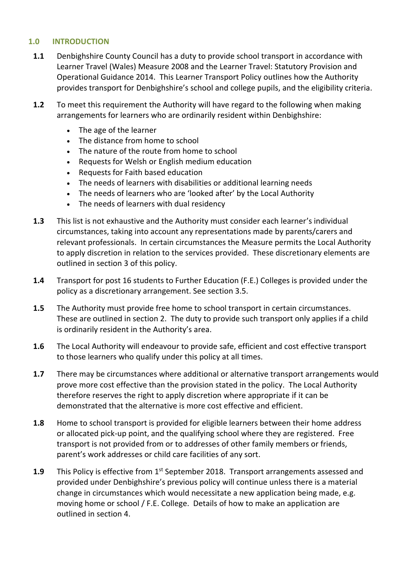#### **1.0 INTRODUCTION**

- **1.1** Denbighshire County Council has a duty to provide school transport in accordance with Learner Travel (Wales) Measure 2008 and the Learner Travel: Statutory Provision and Operational Guidance 2014. This Learner Transport Policy outlines how the Authority provides transport for Denbighshire's school and college pupils, and the eligibility criteria.
- **1.2** To meet this requirement the Authority will have regard to the following when making arrangements for learners who are ordinarily resident within Denbighshire:
	- The age of the learner
	- The distance from home to school
	- The nature of the route from home to school
	- Requests for Welsh or English medium education
	- Requests for Faith based education
	- The needs of learners with disabilities or additional learning needs
	- The needs of learners who are 'looked after' by the Local Authority
	- The needs of learners with dual residency
- **1.3** This list is not exhaustive and the Authority must consider each learner's individual circumstances, taking into account any representations made by parents/carers and relevant professionals. In certain circumstances the Measure permits the Local Authority to apply discretion in relation to the services provided. These discretionary elements are outlined in section 3 of this policy.
- **1.4** Transport for post 16 students to Further Education (F.E.) Colleges is provided under the policy as a discretionary arrangement. See section 3.5.
- **1.5** The Authority must provide free home to school transport in certain circumstances. These are outlined in section 2. The duty to provide such transport only applies if a child is ordinarily resident in the Authority's area.
- **1.6** The Local Authority will endeavour to provide safe, efficient and cost effective transport to those learners who qualify under this policy at all times.
- **1.7** There may be circumstances where additional or alternative transport arrangements would prove more cost effective than the provision stated in the policy. The Local Authority therefore reserves the right to apply discretion where appropriate if it can be demonstrated that the alternative is more cost effective and efficient.
- **1.8** Home to school transport is provided for eligible learners between their home address or allocated pick-up point, and the qualifying school where they are registered. Free transport is not provided from or to addresses of other family members or friends, parent's work addresses or child care facilities of any sort.
- **1.9** This Policy is effective from 1<sup>st</sup> September 2018. Transport arrangements assessed and provided under Denbighshire's previous policy will continue unless there is a material change in circumstances which would necessitate a new application being made, e.g. moving home or school / F.E. College. Details of how to make an application are outlined in section 4.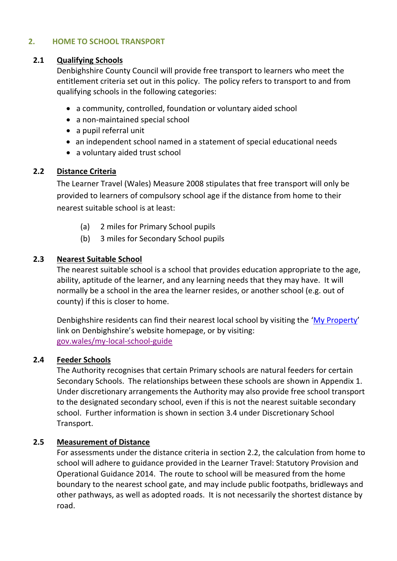#### **2. HOME TO SCHOOL TRANSPORT**

#### **2.1 Qualifying Schools**

Denbighshire County Council will provide free transport to learners who meet the entitlement criteria set out in this policy. The policy refers to transport to and from qualifying schools in the following categories:

- a community, controlled, foundation or voluntary aided school
- a non-maintained special school
- a pupil referral unit
- an independent school named in a statement of special educational needs
- a voluntary aided trust school

#### **2.2 Distance Criteria**

The Learner Travel (Wales) Measure 2008 stipulates that free transport will only be provided to learners of compulsory school age if the distance from home to their nearest suitable school is at least:

- (a) 2 miles for Primary School pupils
- (b) 3 miles for Secondary School pupils

#### **2.3 Nearest Suitable School**

The nearest suitable school is a school that provides education appropriate to the age, ability, aptitude of the learner, and any learning needs that they may have. It will normally be a school in the area the learner resides, or another school (e.g. out of county) if this is closer to home.

Denbighshire residents can find their nearest local school by visiting the '[My Property](https://maps.denbighshire.gov.uk/MyDenbighshire.aspx)' link on Denbighshire's website homepage, or by visiting: [gov.wales/my-local-school-guide](https://gov.wales/my-local-school-guide)

#### **2.4 Feeder Schools**

The Authority recognises that certain Primary schools are natural feeders for certain Secondary Schools. The relationships between these schools are shown in Appendix 1. Under discretionary arrangements the Authority may also provide free school transport to the designated secondary school, even if this is not the nearest suitable secondary school. Further information is shown in section 3.4 under Discretionary School Transport.

#### **2.5 Measurement of Distance**

For assessments under the distance criteria in section 2.2, the calculation from home to school will adhere to guidance provided in the Learner Travel: Statutory Provision and Operational Guidance 2014. The route to school will be measured from the home boundary to the nearest school gate, and may include public footpaths, bridleways and other pathways, as well as adopted roads. It is not necessarily the shortest distance by road.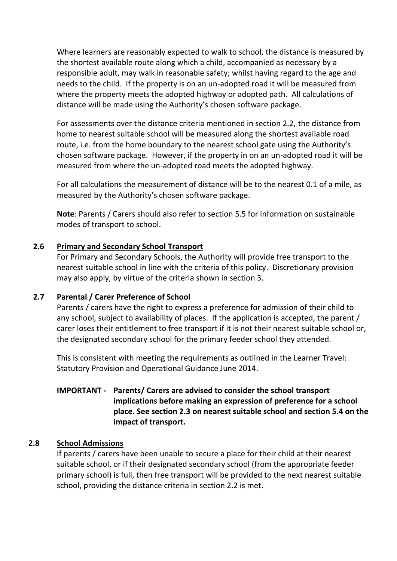Where learners are reasonably expected to walk to school, the distance is measured by the shortest available route along which a child, accompanied as necessary by a responsible adult, may walk in reasonable safety; whilst having regard to the age and needs to the child. If the property is on an un-adopted road it will be measured from where the property meets the adopted highway or adopted path. All calculations of distance will be made using the Authority's chosen software package.

For assessments over the distance criteria mentioned in section 2.2, the distance from home to nearest suitable school will be measured along the shortest available road route, i.e. from the home boundary to the nearest school gate using the Authority's chosen software package. However, if the property in on an un-adopted road it will be measured from where the un-adopted road meets the adopted highway.

For all calculations the measurement of distance will be to the nearest 0.1 of a mile, as measured by the Authority's chosen software package.

**Note**: Parents / Carers should also refer to section 5.5 for information on sustainable modes of transport to school.

#### **2.6 Primary and Secondary School Transport**

For Primary and Secondary Schools, the Authority will provide free transport to the nearest suitable school in line with the criteria of this policy. Discretionary provision may also apply, by virtue of the criteria shown in section 3.

#### **2.7 Parental / Carer Preference of School**

Parents / carers have the right to express a preference for admission of their child to any school, subject to availability of places. If the application is accepted, the parent / carer loses their entitlement to free transport if it is not their nearest suitable school or, the designated secondary school for the primary feeder school they attended.

This is consistent with meeting the requirements as outlined in the Learner Travel: Statutory Provision and Operational Guidance June 2014.

### **IMPORTANT - Parents/ Carers are advised to consider the school transport implications before making an expression of preference for a school place. See section 2.3 on nearest suitable school and section 5.4 on the impact of transport.**

#### **2.8 School Admissions**

If parents / carers have been unable to secure a place for their child at their nearest suitable school, or if their designated secondary school (from the appropriate feeder primary school) is full, then free transport will be provided to the next nearest suitable school, providing the distance criteria in section 2.2 is met.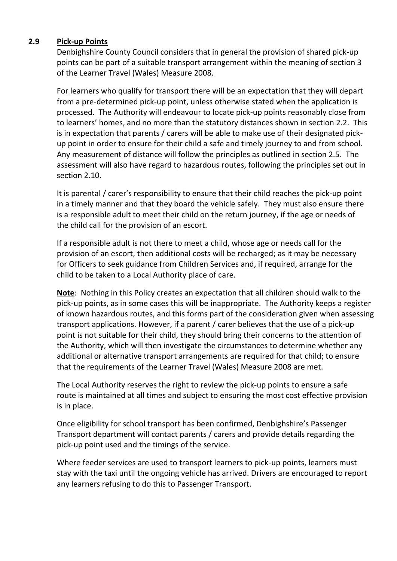#### **2.9 Pick-up Points**

Denbighshire County Council considers that in general the provision of shared pick-up points can be part of a suitable transport arrangement within the meaning of section 3 of the Learner Travel (Wales) Measure 2008.

For learners who qualify for transport there will be an expectation that they will depart from a pre-determined pick-up point, unless otherwise stated when the application is processed. The Authority will endeavour to locate pick-up points reasonably close from to learners' homes, and no more than the statutory distances shown in section 2.2. This is in expectation that parents / carers will be able to make use of their designated pickup point in order to ensure for their child a safe and timely journey to and from school. Any measurement of distance will follow the principles as outlined in section 2.5. The assessment will also have regard to hazardous routes, following the principles set out in section 2.10.

It is parental / carer's responsibility to ensure that their child reaches the pick-up point in a timely manner and that they board the vehicle safely. They must also ensure there is a responsible adult to meet their child on the return journey, if the age or needs of the child call for the provision of an escort.

If a responsible adult is not there to meet a child, whose age or needs call for the provision of an escort, then additional costs will be recharged; as it may be necessary for Officers to seek guidance from Children Services and, if required, arrange for the child to be taken to a Local Authority place of care.

**Note**: Nothing in this Policy creates an expectation that all children should walk to the pick-up points, as in some cases this will be inappropriate. The Authority keeps a register of known hazardous routes, and this forms part of the consideration given when assessing transport applications. However, if a parent / carer believes that the use of a pick-up point is not suitable for their child, they should bring their concerns to the attention of the Authority, which will then investigate the circumstances to determine whether any additional or alternative transport arrangements are required for that child; to ensure that the requirements of the Learner Travel (Wales) Measure 2008 are met.

The Local Authority reserves the right to review the pick-up points to ensure a safe route is maintained at all times and subject to ensuring the most cost effective provision is in place.

Once eligibility for school transport has been confirmed, Denbighshire's Passenger Transport department will contact parents / carers and provide details regarding the pick-up point used and the timings of the service.

Where feeder services are used to transport learners to pick-up points, learners must stay with the taxi until the ongoing vehicle has arrived. Drivers are encouraged to report any learners refusing to do this to Passenger Transport.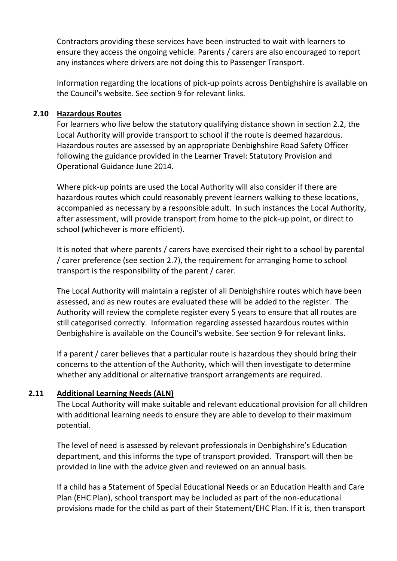Contractors providing these services have been instructed to wait with learners to ensure they access the ongoing vehicle. Parents / carers are also encouraged to report any instances where drivers are not doing this to Passenger Transport.

Information regarding the locations of pick-up points across Denbighshire is available on the Council's website. See section 9 for relevant links.

#### **2.10 Hazardous Routes**

For learners who live below the statutory qualifying distance shown in section 2.2, the Local Authority will provide transport to school if the route is deemed hazardous. Hazardous routes are assessed by an appropriate Denbighshire Road Safety Officer following the guidance provided in the Learner Travel: Statutory Provision and Operational Guidance June 2014.

Where pick-up points are used the Local Authority will also consider if there are hazardous routes which could reasonably prevent learners walking to these locations, accompanied as necessary by a responsible adult. In such instances the Local Authority, after assessment, will provide transport from home to the pick-up point, or direct to school (whichever is more efficient).

It is noted that where parents / carers have exercised their right to a school by parental / carer preference (see section 2.7), the requirement for arranging home to school transport is the responsibility of the parent / carer.

The Local Authority will maintain a register of all Denbighshire routes which have been assessed, and as new routes are evaluated these will be added to the register. The Authority will review the complete register every 5 years to ensure that all routes are still categorised correctly. Information regarding assessed hazardous routes within Denbighshire is available on the Council's website. See section 9 for relevant links.

If a parent / carer believes that a particular route is hazardous they should bring their concerns to the attention of the Authority, which will then investigate to determine whether any additional or alternative transport arrangements are required.

#### **2.11 Additional Learning Needs (ALN)**

The Local Authority will make suitable and relevant educational provision for all children with additional learning needs to ensure they are able to develop to their maximum potential.

The level of need is assessed by relevant professionals in Denbighshire's Education department, and this informs the type of transport provided. Transport will then be provided in line with the advice given and reviewed on an annual basis.

If a child has a Statement of Special Educational Needs or an Education Health and Care Plan (EHC Plan), school transport may be included as part of the non-educational provisions made for the child as part of their Statement/EHC Plan. If it is, then transport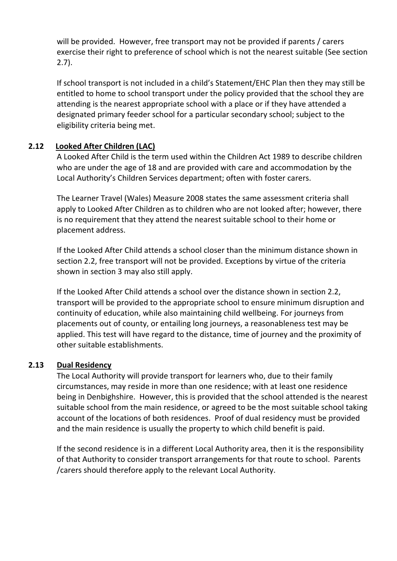will be provided. However, free transport may not be provided if parents / carers exercise their right to preference of school which is not the nearest suitable (See section 2.7).

If school transport is not included in a child's Statement/EHC Plan then they may still be entitled to home to school transport under the policy provided that the school they are attending is the nearest appropriate school with a place or if they have attended a designated primary feeder school for a particular secondary school; subject to the eligibility criteria being met.

### **2.12 Looked After Children (LAC)**

A Looked After Child is the term used within the Children Act 1989 to describe children who are under the age of 18 and are provided with care and accommodation by the Local Authority's Children Services department; often with foster carers.

The Learner Travel (Wales) Measure 2008 states the same assessment criteria shall apply to Looked After Children as to children who are not looked after; however, there is no requirement that they attend the nearest suitable school to their home or placement address.

If the Looked After Child attends a school closer than the minimum distance shown in section 2.2, free transport will not be provided. Exceptions by virtue of the criteria shown in section 3 may also still apply.

If the Looked After Child attends a school over the distance shown in section 2.2, transport will be provided to the appropriate school to ensure minimum disruption and continuity of education, while also maintaining child wellbeing. For journeys from placements out of county, or entailing long journeys, a reasonableness test may be applied. This test will have regard to the distance, time of journey and the proximity of other suitable establishments.

### **2.13 Dual Residency**

The Local Authority will provide transport for learners who, due to their family circumstances, may reside in more than one residence; with at least one residence being in Denbighshire. However, this is provided that the school attended is the nearest suitable school from the main residence, or agreed to be the most suitable school taking account of the locations of both residences. Proof of dual residency must be provided and the main residence is usually the property to which child benefit is paid.

If the second residence is in a different Local Authority area, then it is the responsibility of that Authority to consider transport arrangements for that route to school. Parents /carers should therefore apply to the relevant Local Authority.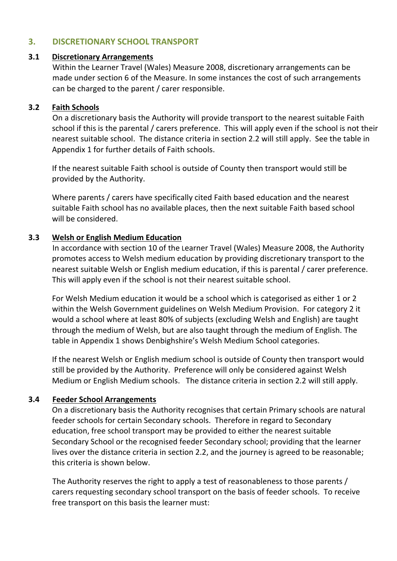#### **3. DISCRETIONARY SCHOOL TRANSPORT**

#### **3.1 Discretionary Arrangements**

Within the Learner Travel (Wales) Measure 2008, discretionary arrangements can be made under section 6 of the Measure. In some instances the cost of such arrangements can be charged to the parent / carer responsible.

#### **3.2 Faith Schools**

On a discretionary basis the Authority will provide transport to the nearest suitable Faith school if this is the parental / carers preference. This will apply even if the school is not their nearest suitable school. The distance criteria in section 2.2 will still apply. See the table in Appendix 1 for further details of Faith schools.

If the nearest suitable Faith school is outside of County then transport would still be provided by the Authority.

Where parents / carers have specifically cited Faith based education and the nearest suitable Faith school has no available places, then the next suitable Faith based school will be considered.

#### **3.3 Welsh or English Medium Education**

In accordance with section 10 of the Learner Travel (Wales) Measure 2008, the Authority promotes access to Welsh medium education by providing discretionary transport to the nearest suitable Welsh or English medium education, if this is parental / carer preference. This will apply even if the school is not their nearest suitable school.

For Welsh Medium education it would be a school which is categorised as either 1 or 2 within the Welsh Government guidelines on Welsh Medium Provision. For category 2 it would a school where at least 80% of subjects (excluding Welsh and English) are taught through the medium of Welsh, but are also taught through the medium of English. The table in Appendix 1 shows Denbighshire's Welsh Medium School categories.

If the nearest Welsh or English medium school is outside of County then transport would still be provided by the Authority. Preference will only be considered against Welsh Medium or English Medium schools. The distance criteria in section 2.2 will still apply.

#### **3.4 Feeder School Arrangements**

On a discretionary basis the Authority recognises that certain Primary schools are natural feeder schools for certain Secondary schools. Therefore in regard to Secondary education, free school transport may be provided to either the nearest suitable Secondary School or the recognised feeder Secondary school; providing that the learner lives over the distance criteria in section 2.2, and the journey is agreed to be reasonable; this criteria is shown below.

The Authority reserves the right to apply a test of reasonableness to those parents / carers requesting secondary school transport on the basis of feeder schools. To receive free transport on this basis the learner must: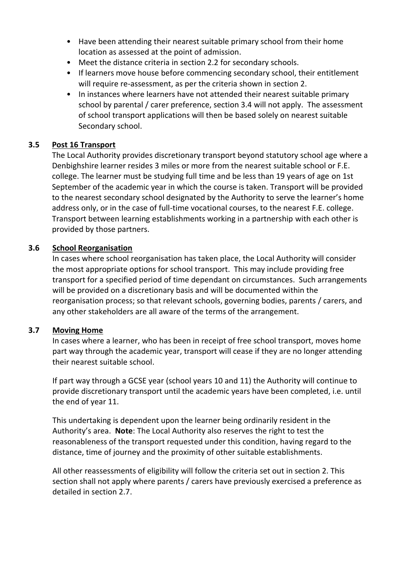- Have been attending their nearest suitable primary school from their home location as assessed at the point of admission.
- Meet the distance criteria in section 2.2 for secondary schools.
- If learners move house before commencing secondary school, their entitlement will require re-assessment, as per the criteria shown in section 2.
- In instances where learners have not attended their nearest suitable primary school by parental / carer preference, section 3.4 will not apply. The assessment of school transport applications will then be based solely on nearest suitable Secondary school.

#### **3.5 Post 16 Transport**

The Local Authority provides discretionary transport beyond statutory school age where a Denbighshire learner resides 3 miles or more from the nearest suitable school or F.E. college. The learner must be studying full time and be less than 19 years of age on 1st September of the academic year in which the course is taken. Transport will be provided to the nearest secondary school designated by the Authority to serve the learner's home address only, or in the case of full-time vocational courses, to the nearest F.E. college. Transport between learning establishments working in a partnership with each other is provided by those partners.

#### **3.6 School Reorganisation**

In cases where school reorganisation has taken place, the Local Authority will consider the most appropriate options for school transport. This may include providing free transport for a specified period of time dependant on circumstances. Such arrangements will be provided on a discretionary basis and will be documented within the reorganisation process; so that relevant schools, governing bodies, parents / carers, and any other stakeholders are all aware of the terms of the arrangement.

#### **3.7 Moving Home**

In cases where a learner, who has been in receipt of free school transport, moves home part way through the academic year, transport will cease if they are no longer attending their nearest suitable school.

If part way through a GCSE year (school years 10 and 11) the Authority will continue to provide discretionary transport until the academic years have been completed, i.e. until the end of year 11.

This undertaking is dependent upon the learner being ordinarily resident in the Authority's area. **Note**: The Local Authority also reserves the right to test the reasonableness of the transport requested under this condition, having regard to the distance, time of journey and the proximity of other suitable establishments.

All other reassessments of eligibility will follow the criteria set out in section 2. This section shall not apply where parents / carers have previously exercised a preference as detailed in section 2.7.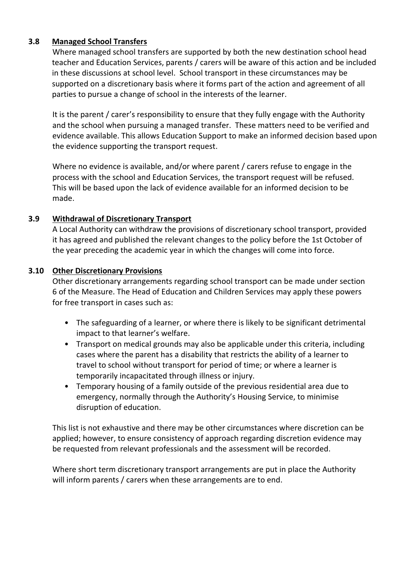#### **3.8 Managed School Transfers**

Where managed school transfers are supported by both the new destination school head teacher and Education Services, parents / carers will be aware of this action and be included in these discussions at school level. School transport in these circumstances may be supported on a discretionary basis where it forms part of the action and agreement of all parties to pursue a change of school in the interests of the learner.

It is the parent / carer's responsibility to ensure that they fully engage with the Authority and the school when pursuing a managed transfer. These matters need to be verified and evidence available. This allows Education Support to make an informed decision based upon the evidence supporting the transport request.

Where no evidence is available, and/or where parent / carers refuse to engage in the process with the school and Education Services, the transport request will be refused. This will be based upon the lack of evidence available for an informed decision to be made.

#### **3.9 Withdrawal of Discretionary Transport**

A Local Authority can withdraw the provisions of discretionary school transport, provided it has agreed and published the relevant changes to the policy before the 1st October of the year preceding the academic year in which the changes will come into force.

#### **3.10 Other Discretionary Provisions**

Other discretionary arrangements regarding school transport can be made under section 6 of the Measure. The Head of Education and Children Services may apply these powers for free transport in cases such as:

- The safeguarding of a learner, or where there is likely to be significant detrimental impact to that learner's welfare.
- Transport on medical grounds may also be applicable under this criteria, including cases where the parent has a disability that restricts the ability of a learner to travel to school without transport for period of time; or where a learner is temporarily incapacitated through illness or injury.
- Temporary housing of a family outside of the previous residential area due to emergency, normally through the Authority's Housing Service, to minimise disruption of education.

This list is not exhaustive and there may be other circumstances where discretion can be applied; however, to ensure consistency of approach regarding discretion evidence may be requested from relevant professionals and the assessment will be recorded.

Where short term discretionary transport arrangements are put in place the Authority will inform parents / carers when these arrangements are to end.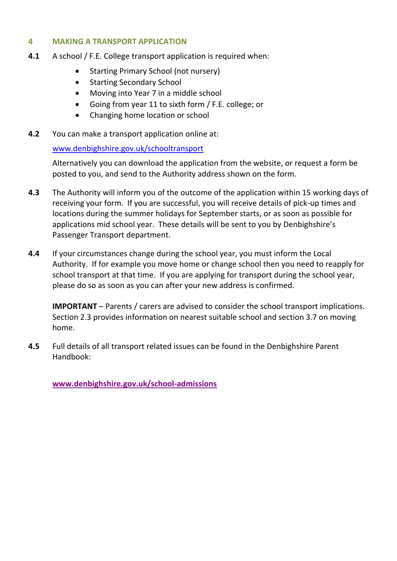#### **4 MAKING A TRANSPORT APPLICATION**

- **4.1** A school / F.E. College transport application is required when:
	- Starting Primary School (not nursery)
	- Starting Secondary School
	- Moving into Year 7 in a middle school
	- Going from year 11 to sixth form / F.E. college; or
	- Changing home location or school
- **4.2** You can make a transport application online at:

#### [www.denbighshire.gov.uk/schooltransport](http://www.denbighshire.gov.uk/schooltransport)

Alternatively you can download the application from the website, or request a form be posted to you, and send to the Authority address shown on the form.

- **4.3** The Authority will inform you of the outcome of the application within 15 working days of receiving your form. If you are successful, you will receive details of pick-up times and locations during the summer holidays for September starts, or as soon as possible for applications mid school year. These details will be sent to you by Denbighshire's Passenger Transport department.
- **4.4** If your circumstances change during the school year, you must inform the Local Authority. If for example you move home or change school then you need to reapply for school transport at that time. If you are applying for transport during the school year, please do so as soon as you can after your new address is confirmed.

**IMPORTANT** – Parents / carers are advised to consider the school transport implications. Section 2.3 provides information on nearest suitable school and section 3.7 on moving home.

**4.5** Full details of all transport related issues can be found in the Denbighshire Parent Handbook:

**[www.denbighshire.gov.uk/school-admissions](http://www.denbighshire.gov.uk/school-admissions)**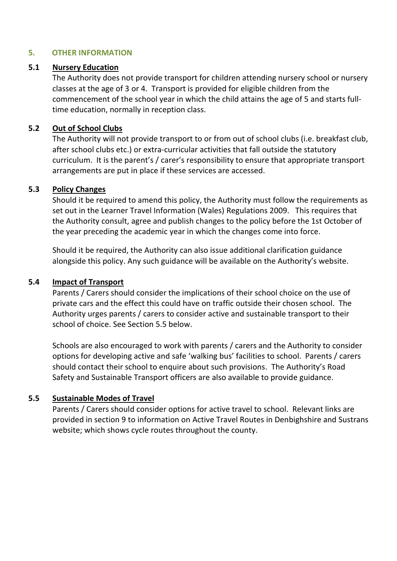#### **5. OTHER INFORMATION**

#### **5.1 Nursery Education**

The Authority does not provide transport for children attending nursery school or nursery classes at the age of 3 or 4. Transport is provided for eligible children from the commencement of the school year in which the child attains the age of 5 and starts fulltime education, normally in reception class.

#### **5.2 Out of School Clubs**

The Authority will not provide transport to or from out of school clubs (i.e. breakfast club, after school clubs etc.) or extra-curricular activities that fall outside the statutory curriculum. It is the parent's / carer's responsibility to ensure that appropriate transport arrangements are put in place if these services are accessed.

#### **5.3 Policy Changes**

Should it be required to amend this policy, the Authority must follow the requirements as set out in the Learner Travel Information (Wales) Regulations 2009. This requires that the Authority consult, agree and publish changes to the policy before the 1st October of the year preceding the academic year in which the changes come into force.

Should it be required, the Authority can also issue additional clarification guidance alongside this policy. Any such guidance will be available on the Authority's website.

#### **5.4 Impact of Transport**

Parents / Carers should consider the implications of their school choice on the use of private cars and the effect this could have on traffic outside their chosen school. The Authority urges parents / carers to consider active and sustainable transport to their school of choice. See Section 5.5 below.

Schools are also encouraged to work with parents / carers and the Authority to consider options for developing active and safe 'walking bus' facilities to school. Parents / carers should contact their school to enquire about such provisions. The Authority's Road Safety and Sustainable Transport officers are also available to provide guidance.

#### **5.5 Sustainable Modes of Travel**

Parents / Carers should consider options for active travel to school. Relevant links are provided in section 9 to information on Active Travel Routes in Denbighshire and Sustrans website; which shows cycle routes throughout the county.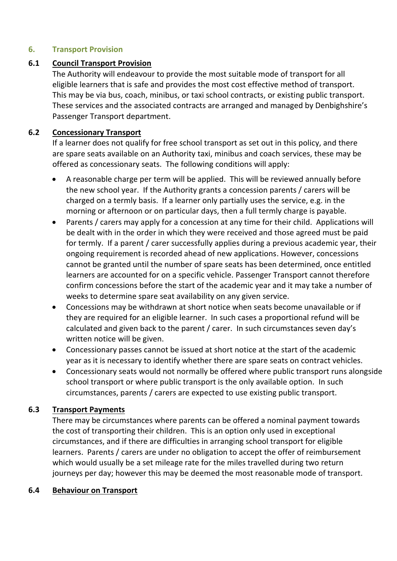#### **6. Transport Provision**

#### **6.1 Council Transport Provision**

The Authority will endeavour to provide the most suitable mode of transport for all eligible learners that is safe and provides the most cost effective method of transport. This may be via bus, coach, minibus, or taxi school contracts, or existing public transport. These services and the associated contracts are arranged and managed by Denbighshire's Passenger Transport department.

#### **6.2 Concessionary Transport**

If a learner does not qualify for free school transport as set out in this policy, and there are spare seats available on an Authority taxi, minibus and coach services, these may be offered as concessionary seats. The following conditions will apply:

- A reasonable charge per term will be applied. This will be reviewed annually before the new school year. If the Authority grants a concession parents / carers will be charged on a termly basis. If a learner only partially uses the service, e.g. in the morning or afternoon or on particular days, then a full termly charge is payable.
- Parents / carers may apply for a concession at any time for their child. Applications will be dealt with in the order in which they were received and those agreed must be paid for termly. If a parent / carer successfully applies during a previous academic year, their ongoing requirement is recorded ahead of new applications. However, concessions cannot be granted until the number of spare seats has been determined, once entitled learners are accounted for on a specific vehicle. Passenger Transport cannot therefore confirm concessions before the start of the academic year and it may take a number of weeks to determine spare seat availability on any given service.
- Concessions may be withdrawn at short notice when seats become unavailable or if they are required for an eligible learner. In such cases a proportional refund will be calculated and given back to the parent / carer. In such circumstances seven day's written notice will be given.
- Concessionary passes cannot be issued at short notice at the start of the academic year as it is necessary to identify whether there are spare seats on contract vehicles.
- Concessionary seats would not normally be offered where public transport runs alongside school transport or where public transport is the only available option. In such circumstances, parents / carers are expected to use existing public transport.

### **6.3 Transport Payments**

There may be circumstances where parents can be offered a nominal payment towards the cost of transporting their children. This is an option only used in exceptional circumstances, and if there are difficulties in arranging school transport for eligible learners. Parents / carers are under no obligation to accept the offer of reimbursement which would usually be a set mileage rate for the miles travelled during two return journeys per day; however this may be deemed the most reasonable mode of transport.

#### **6.4 Behaviour on Transport**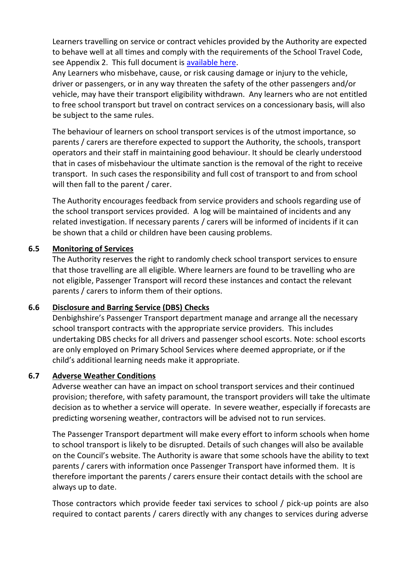Learners travelling on service or contract vehicles provided by the Authority are expected to behave well at all times and comply with the requirements of the School Travel Code, see Appendix 2. This full document is [available here.](http://gov.wales/topics/educationandskills/allsectorpolicies/learner-travel/travel-code/?lang=en)

Any Learners who misbehave, cause, or risk causing damage or injury to the vehicle, driver or passengers, or in any way threaten the safety of the other passengers and/or vehicle, may have their transport eligibility withdrawn. Any learners who are not entitled to free school transport but travel on contract services on a concessionary basis, will also be subject to the same rules.

The behaviour of learners on school transport services is of the utmost importance, so parents / carers are therefore expected to support the Authority, the schools, transport operators and their staff in maintaining good behaviour. It should be clearly understood that in cases of misbehaviour the ultimate sanction is the removal of the right to receive transport. In such cases the responsibility and full cost of transport to and from school will then fall to the parent / carer.

The Authority encourages feedback from service providers and schools regarding use of the school transport services provided. A log will be maintained of incidents and any related investigation. If necessary parents / carers will be informed of incidents if it can be shown that a child or children have been causing problems.

#### **6.5 Monitoring of Services**

The Authority reserves the right to randomly check school transport services to ensure that those travelling are all eligible. Where learners are found to be travelling who are not eligible, Passenger Transport will record these instances and contact the relevant parents / carers to inform them of their options.

### **6.6 Disclosure and Barring Service (DBS) Checks**

Denbighshire's Passenger Transport department manage and arrange all the necessary school transport contracts with the appropriate service providers. This includes undertaking DBS checks for all drivers and passenger school escorts. Note: school escorts are only employed on Primary School Services where deemed appropriate, or if the child's additional learning needs make it appropriate.

### **6.7 Adverse Weather Conditions**

Adverse weather can have an impact on school transport services and their continued provision; therefore, with safety paramount, the transport providers will take the ultimate decision as to whether a service will operate. In severe weather, especially if forecasts are predicting worsening weather, contractors will be advised not to run services.

The Passenger Transport department will make every effort to inform schools when home to school transport is likely to be disrupted. Details of such changes will also be available on the Council's website. The Authority is aware that some schools have the ability to text parents / carers with information once Passenger Transport have informed them. It is therefore important the parents / carers ensure their contact details with the school are always up to date.

Those contractors which provide feeder taxi services to school / pick-up points are also required to contact parents / carers directly with any changes to services during adverse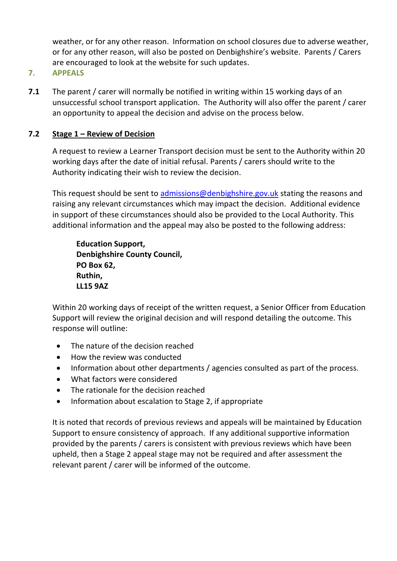weather, or for any other reason. Information on school closures due to adverse weather, or for any other reason, will also be posted on Denbighshire's website. Parents / Carers are encouraged to look at the website for such updates.

#### **7. APPEALS**

**7.1** The parent / carer will normally be notified in writing within 15 working days of an unsuccessful school transport application. The Authority will also offer the parent / carer an opportunity to appeal the decision and advise on the process below.

#### **7.2 Stage 1 – Review of Decision**

A request to review a Learner Transport decision must be sent to the Authority within 20 working days after the date of initial refusal. Parents / carers should write to the Authority indicating their wish to review the decision.

This request should be sent to [admissions@denbighshire.gov.uk](mailto:admissions@denbighshire.gov.uk) stating the reasons and raising any relevant circumstances which may impact the decision. Additional evidence in support of these circumstances should also be provided to the Local Authority. This additional information and the appeal may also be posted to the following address:

**Education Support, Denbighshire County Council, PO Box 62, Ruthin, LL15 9AZ**

Within 20 working days of receipt of the written request, a Senior Officer from Education Support will review the original decision and will respond detailing the outcome. This response will outline:

- The nature of the decision reached
- How the review was conducted
- Information about other departments / agencies consulted as part of the process.
- What factors were considered
- The rationale for the decision reached
- Information about escalation to Stage 2, if appropriate

It is noted that records of previous reviews and appeals will be maintained by Education Support to ensure consistency of approach. If any additional supportive information provided by the parents / carers is consistent with previous reviews which have been upheld, then a Stage 2 appeal stage may not be required and after assessment the relevant parent / carer will be informed of the outcome.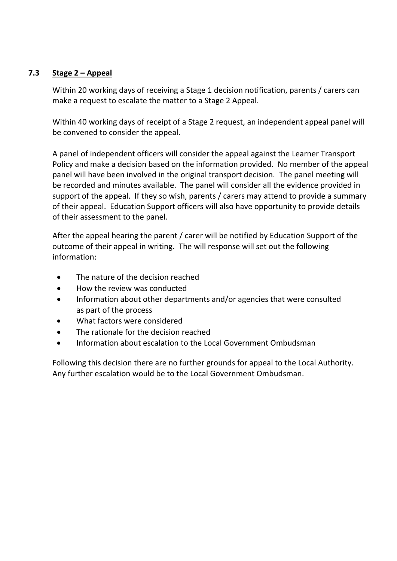#### **7.3 Stage 2 – Appeal**

Within 20 working days of receiving a Stage 1 decision notification, parents / carers can make a request to escalate the matter to a Stage 2 Appeal.

Within 40 working days of receipt of a Stage 2 request, an independent appeal panel will be convened to consider the appeal.

A panel of independent officers will consider the appeal against the Learner Transport Policy and make a decision based on the information provided. No member of the appeal panel will have been involved in the original transport decision. The panel meeting will be recorded and minutes available. The panel will consider all the evidence provided in support of the appeal. If they so wish, parents / carers may attend to provide a summary of their appeal. Education Support officers will also have opportunity to provide details of their assessment to the panel.

After the appeal hearing the parent / carer will be notified by Education Support of the outcome of their appeal in writing. The will response will set out the following information:

- The nature of the decision reached
- How the review was conducted
- Information about other departments and/or agencies that were consulted as part of the process
- What factors were considered
- The rationale for the decision reached
- Information about escalation to the Local Government Ombudsman

Following this decision there are no further grounds for appeal to the Local Authority. Any further escalation would be to the Local Government Ombudsman.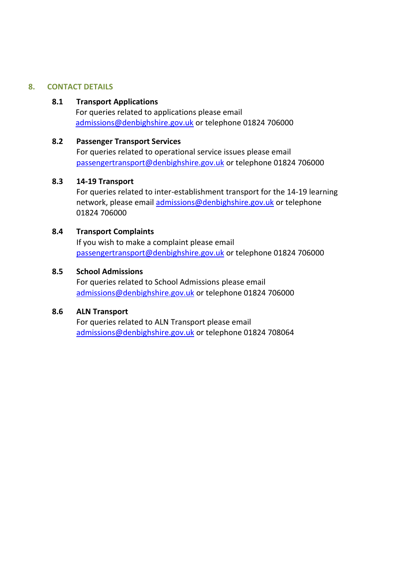#### **8. CONTACT DETAILS**

#### **8.1 Transport Applications**

For queries related to applications please email [admissions@denbighshire.gov.uk](mailto:admissions@denbighshire.gov.uk) or telephone 01824 706000

#### **8.2 Passenger Transport Services**

For queries related to operational service issues please email [passengertransport@denbighshire.gov.uk](mailto:passengertransport@denbighshire.gov.uk) or telephone 01824 706000

#### **8.3 14-19 Transport**

For queries related to inter-establishment transport for the 14-19 learning network, please email [admissions@denbighshire.gov.uk](mailto:admissions@denbighshire.gov.uk) or telephone 01824 706000

#### **8.4 Transport Complaints**

If you wish to make a complaint please email [passengertransport@denbighshire.gov.uk](mailto:passengertransport@denbighshire.gov.uk) or telephone 01824 706000

#### **8.5 School Admissions**

For queries related to School Admissions please email [admissions@denbighshire.gov.uk](mailto:admissions@denbighshire.gov.uk) or telephone 01824 706000

#### **8.6 ALN Transport**

For queries related to ALN Transport please email [admissions@denbighshire.gov.uk](mailto:admissions@denbighshire.gov.uk) or telephone 01824 708064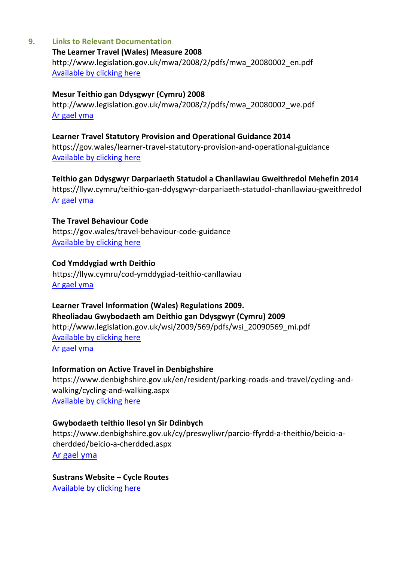#### **9. Links to Relevant Documentation**

#### **The Learner Travel (Wales) Measure 2008** http://www.legislation.gov.uk/mwa/2008/2/pdfs/mwa\_20080002\_en.pdf [Available by clicking here](http://www.legislation.gov.uk/mwa/2008/2/pdfs/mwa_20080002_en.pdf)

#### **Mesur Teithio gan Ddysgwyr (Cymru) 2008**

http://www.legislation.gov.uk/mwa/2008/2/pdfs/mwa\_20080002\_we.pdf [Ar gael yma](http://www.legislation.gov.uk/mwa/2008/2/pdfs/mwa_20080002_we.pdf)

#### **Learner Travel Statutory Provision and Operational Guidance 2014**

https://gov.wales/learner-travel-statutory-provision-and-operational-guidance [Available by clicking here](https://gov.wales/learner-travel-statutory-provision-and-operational-guidance)

#### **Teithio gan Ddysgwyr Darpariaeth Statudol a Chanllawiau Gweithredol Mehefin 2014**

https://llyw.cymru/teithio-gan-ddysgwyr-darpariaeth-statudol-chanllawiau-gweithredol [Ar gael yma](https://llyw.cymru/teithio-gan-ddysgwyr-darpariaeth-statudol-chanllawiau-gweithredol)

#### **The Travel Behaviour Code**

https://gov.wales/travel-behaviour-code-guidance [Available by clicking here](https://gov.wales/travel-behaviour-code-guidance)

#### **Cod Ymddygiad wrth Deithio**

https://llyw.cymru/cod-ymddygiad-teithio-canllawiau [Ar gael yma](https://llyw.cymru/cod-ymddygiad-teithio-canllawiau)

#### **Learner Travel Information (Wales) Regulations 2009. Rheoliadau Gwybodaeth am Deithio gan Ddysgwyr (Cymru) 2009**

http://www.legislation.gov.uk/wsi/2009/569/pdfs/wsi\_20090569\_mi.pdf [Available by clicking here](http://www.legislation.gov.uk/wsi/2009/569/pdfs/wsi_20090569_mi.pdf) [Ar gael yma](http://www.legislation.gov.uk/wsi/2009/569/pdfs/wsi_20090569_mi.pdf)

#### **Information on Active Travel in Denbighshire**

https://www.denbighshire.gov.uk/en/resident/parking-roads-and-travel/cycling-andwalking/cycling-and-walking.aspx [Available by clicking here](https://www.denbighshire.gov.uk/en/resident/parking-roads-and-travel/cycling-and-walking/cycling-and-walking.aspx)

#### **Gwybodaeth teithio llesol yn Sir Ddinbych**

https://www.denbighshire.gov.uk/cy/preswyliwr/parcio-ffyrdd-a-theithio/beicio-acherdded/beicio-a-cherdded.aspx [Ar gael yma](https://www.denbighshire.gov.uk/cy/preswyliwr/parcio-ffyrdd-a-theithio/beicio-a-cherdded/beicio-a-cherdded.aspx)

**Sustrans Website – Cycle Routes** [Available by clicking here](http://www.sustrans.org.uk/ncn/map)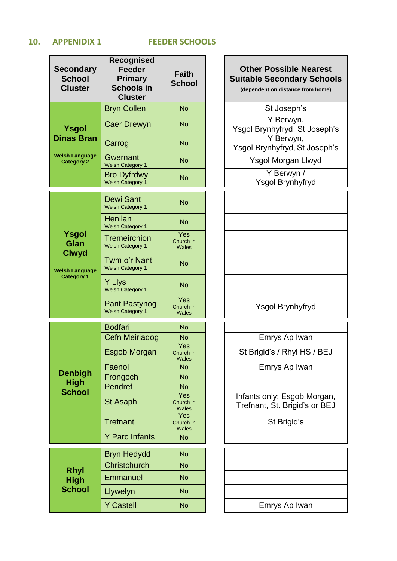#### **10. APPENIDIX 1 FEEDER SCHOOLS**

| Secondary<br><b>School</b><br><b>Cluster</b>                                | <b>Recognised</b><br><b>Feeder</b><br><b>Primary</b><br><b>Schools in</b><br><b>Cluster</b> | <b>Faith</b><br><b>School</b> |
|-----------------------------------------------------------------------------|---------------------------------------------------------------------------------------------|-------------------------------|
|                                                                             | <b>Bryn Collen</b>                                                                          | <b>No</b>                     |
| Ysgol                                                                       | Caer Drewyn                                                                                 | No                            |
| <b>Dinas Bran</b>                                                           | Carrog                                                                                      | <b>No</b>                     |
| <b>Welsh Language</b><br><b>Category 2</b>                                  | Gwernant<br><b>Welsh Category 1</b>                                                         | No                            |
|                                                                             | <b>Bro Dyfrdwy</b><br>Welsh Category 1                                                      | <b>No</b>                     |
|                                                                             | Dewi Sant<br><b>Welsh Category 1</b>                                                        | <b>No</b>                     |
| Ysgol<br>Glan<br><b>Clwyd</b><br><b>Welsh Language</b><br><b>Category 1</b> | Henllan<br><b>Welsh Category 1</b>                                                          | <b>No</b>                     |
|                                                                             | <b>Tremeirchion</b><br><b>Welsh Category 1</b>                                              | Yes<br>Church in<br>Wales     |
|                                                                             | Twm o'r Nant<br><b>Welsh Category 1</b>                                                     | <b>No</b>                     |
|                                                                             | Y Llys<br>Welsh Category 1                                                                  | <b>No</b>                     |
|                                                                             | <b>Pant Pastynog</b><br><b>Welsh Category 1</b>                                             | Yes<br>Church in<br>Wales     |
|                                                                             | <b>Bodfari</b>                                                                              | <b>No</b>                     |
|                                                                             | Cefn Meiriadog                                                                              | No                            |
|                                                                             | Esgob Morgan                                                                                | Yes<br>Church in<br>Wales     |
|                                                                             | Faenol                                                                                      | No                            |
| <b>Denbigh</b>                                                              | Frongoch                                                                                    | <b>No</b>                     |
| High                                                                        | Pendref                                                                                     | <b>No</b>                     |
| <b>School</b>                                                               | St Asaph                                                                                    | Yes<br>Church in<br>Wales     |
|                                                                             | <b>Trefnant</b>                                                                             | Yes<br>Church in<br>Wales     |
|                                                                             | <b>Y Parc Infants</b>                                                                       | <b>No</b>                     |
|                                                                             | <b>Bryn Hedydd</b>                                                                          | <b>No</b>                     |
|                                                                             | Christchurch                                                                                | <b>No</b>                     |
| <b>Rhyl</b><br><b>High</b>                                                  | Emmanuel                                                                                    | No                            |
| <b>School</b>                                                               | Llywelyn                                                                                    | <b>No</b>                     |
|                                                                             | <b>Y Castell</b>                                                                            | <b>No</b>                     |

#### **Other Possible Nearest Suitable Secondary Schools**

**(dependent on distance from home)**

St Joseph's

Caer Drewyn No Y Berwyn, Ysgol Brynhyfryd, St Joseph's Carrog No Y Berwyn, Ysgol Brynhyfryd, St Joseph's

> Ysgol Morgan Llwyd Y Berwyn /

Ysgol Brynhyfryd

Ysgol Brynhyfryd

Emrys Ap Iwan

St Brigid's / Rhyl HS / BEJ

Emrys Ap Iwan

Infants only: Esgob Morgan, Trefnant, St. Brigid's or BEJ

St Brigid's

Emrys Ap Iwan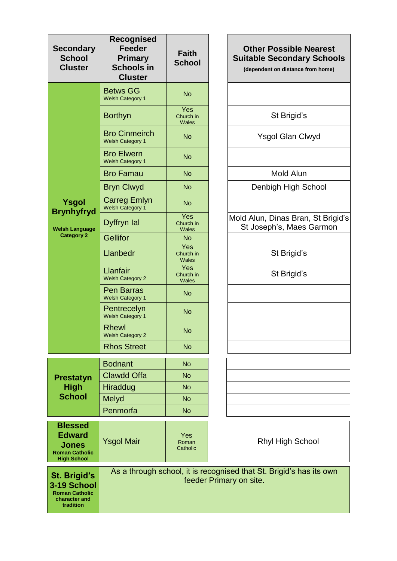| <b>Secondary</b><br><b>School</b><br><b>Cluster</b>                                            | <b>Recognised</b><br><b>Feeder</b><br><b>Primary</b><br><b>Schools in</b><br><b>Cluster</b> | <b>Faith</b><br><b>School</b>    | <b>Other Possible Nearest</b><br><b>Suitable Secondary Schools</b><br>(dependent on distance from home) |
|------------------------------------------------------------------------------------------------|---------------------------------------------------------------------------------------------|----------------------------------|---------------------------------------------------------------------------------------------------------|
|                                                                                                | <b>Betws GG</b><br><b>Welsh Category 1</b>                                                  | <b>No</b>                        |                                                                                                         |
|                                                                                                | <b>Borthyn</b>                                                                              | Yes<br>Church in<br>Wales        | St Brigid's                                                                                             |
|                                                                                                | <b>Bro Cinmeirch</b><br><b>Welsh Category 1</b>                                             | <b>No</b>                        | <b>Ysgol Glan Clwyd</b>                                                                                 |
|                                                                                                | <b>Bro Elwern</b><br><b>Welsh Category 1</b>                                                | <b>No</b>                        |                                                                                                         |
|                                                                                                | <b>Bro Famau</b>                                                                            | <b>No</b>                        | Mold Alun                                                                                               |
|                                                                                                | <b>Bryn Clwyd</b>                                                                           | <b>No</b>                        | Denbigh High School                                                                                     |
| <b>Ysgol</b><br><b>Brynhyfryd</b>                                                              | <b>Carreg Emlyn</b><br>Welsh Category 1                                                     | <b>No</b>                        |                                                                                                         |
| <b>Welsh Language</b>                                                                          | Dyffryn Ial                                                                                 | Yes<br>Church in<br>Wales        | Mold Alun, Dinas Bran, St Brigid's<br>St Joseph's, Maes Garmon                                          |
| <b>Category 2</b>                                                                              | <b>Gellifor</b>                                                                             | <b>No</b>                        |                                                                                                         |
|                                                                                                | Llanbedr                                                                                    | Yes<br>Church in<br><b>Wales</b> | St Brigid's                                                                                             |
|                                                                                                | Llanfair<br><b>Welsh Category 2</b>                                                         | Yes<br>Church in<br><b>Wales</b> | St Brigid's                                                                                             |
|                                                                                                | <b>Pen Barras</b><br><b>Welsh Category 1</b>                                                | <b>No</b>                        |                                                                                                         |
|                                                                                                | Pentrecelyn<br>Welsh Category 1                                                             | <b>No</b>                        |                                                                                                         |
|                                                                                                | <b>Rhewl</b><br><b>Welsh Category 2</b>                                                     | <b>No</b>                        |                                                                                                         |
|                                                                                                | <b>Rhos Street</b>                                                                          | <b>No</b>                        |                                                                                                         |
|                                                                                                | <b>Bodnant</b>                                                                              | <b>No</b>                        |                                                                                                         |
| <b>Prestatyn</b>                                                                               | <b>Clawdd Offa</b>                                                                          | <b>No</b>                        |                                                                                                         |
| <b>High</b>                                                                                    | Hiraddug                                                                                    | <b>No</b>                        |                                                                                                         |
| <b>School</b>                                                                                  | Melyd                                                                                       | <b>No</b>                        |                                                                                                         |
|                                                                                                | Penmorfa                                                                                    | <b>No</b>                        |                                                                                                         |
| <b>Blessed</b><br><b>Edward</b><br><b>Jones</b><br><b>Roman Catholic</b><br><b>High School</b> | <b>Ysgol Mair</b>                                                                           | Yes<br>Roman<br>Catholic         | <b>Rhyl High School</b>                                                                                 |
| <b>St. Brigid's</b><br>3-19 School<br><b>Roman Catholic</b><br>character and<br>tradition      |                                                                                             |                                  | As a through school, it is recognised that St. Brigid's has its own<br>feeder Primary on site.          |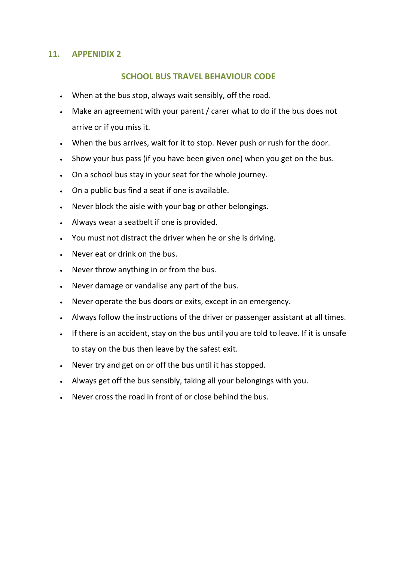#### **11. APPENIDIX 2**

#### **SCHOOL BUS TRAVEL BEHAVIOUR CODE**

- When at the bus stop, always wait sensibly, off the road.
- Make an agreement with your parent / carer what to do if the bus does not arrive or if you miss it.
- When the bus arrives, wait for it to stop. Never push or rush for the door.
- . Show your bus pass (if you have been given one) when you get on the bus.
- On a school bus stay in your seat for the whole journey.
- On a public bus find a seat if one is available.
- Never block the aisle with your bag or other belongings.
- Always wear a seatbelt if one is provided.
- You must not distract the driver when he or she is driving.
- Never eat or drink on the bus.
- Never throw anything in or from the bus.
- Never damage or vandalise any part of the bus.
- Never operate the bus doors or exits, except in an emergency.
- Always follow the instructions of the driver or passenger assistant at all times.
- If there is an accident, stay on the bus until you are told to leave. If it is unsafe to stay on the bus then leave by the safest exit.
- Never try and get on or off the bus until it has stopped.
- Always get off the bus sensibly, taking all your belongings with you.
- Never cross the road in front of or close behind the bus.